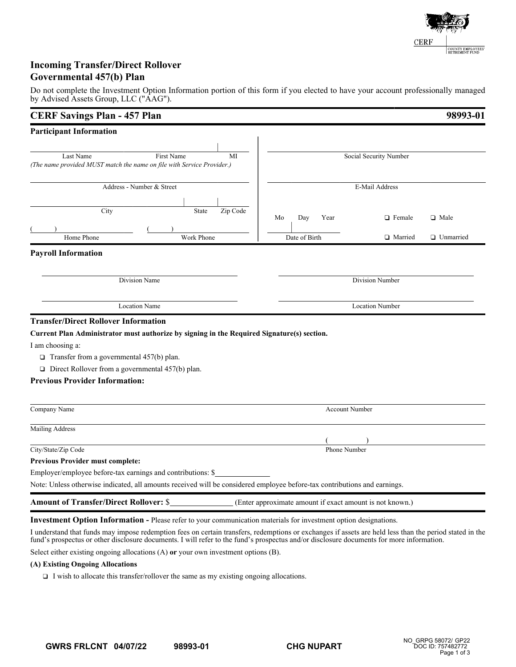

# **Incoming Transfer/Direct Rollover Governmental 457(b) Plan**

Do not complete the Investment Option Information portion of this form if you elected to have your account professionally managed by Advised Assets Group, LLC ("AAG").

| <b>CERF Savings Plan - 457 Plan</b>                                                                                       |                                                          |                        | 98993-01           |  |
|---------------------------------------------------------------------------------------------------------------------------|----------------------------------------------------------|------------------------|--------------------|--|
| <b>Participant Information</b>                                                                                            |                                                          |                        |                    |  |
|                                                                                                                           |                                                          |                        |                    |  |
| Last Name<br>First Name<br>MI                                                                                             |                                                          | Social Security Number |                    |  |
| (The name provided MUST match the name on file with Service Provider.)                                                    |                                                          |                        |                    |  |
| Address - Number & Street                                                                                                 |                                                          | E-Mail Address         |                    |  |
|                                                                                                                           |                                                          |                        |                    |  |
| City<br>Zip Code<br>State                                                                                                 |                                                          |                        |                    |  |
|                                                                                                                           | Mo<br>Day<br>Year                                        | $\Box$ Female          | $\Box$ Male        |  |
| Home Phone<br>Work Phone                                                                                                  | Date of Birth                                            | □ Married              | <b>U</b> Unmarried |  |
| <b>Payroll Information</b>                                                                                                |                                                          |                        |                    |  |
|                                                                                                                           |                                                          |                        |                    |  |
| Division Name                                                                                                             |                                                          | Division Number        |                    |  |
|                                                                                                                           |                                                          |                        |                    |  |
| <b>Location Name</b>                                                                                                      |                                                          | <b>Location Number</b> |                    |  |
| <b>Transfer/Direct Rollover Information</b>                                                                               |                                                          |                        |                    |  |
| Current Plan Administrator must authorize by signing in the Required Signature(s) section.                                |                                                          |                        |                    |  |
| I am choosing a:                                                                                                          |                                                          |                        |                    |  |
| $\Box$ Transfer from a governmental 457(b) plan.                                                                          |                                                          |                        |                    |  |
| $\Box$ Direct Rollover from a governmental 457(b) plan.                                                                   |                                                          |                        |                    |  |
| <b>Previous Provider Information:</b>                                                                                     |                                                          |                        |                    |  |
| Company Name                                                                                                              | <b>Account Number</b>                                    |                        |                    |  |
|                                                                                                                           |                                                          |                        |                    |  |
| Mailing Address                                                                                                           |                                                          |                        |                    |  |
| City/State/Zip Code                                                                                                       | Phone Number                                             |                        |                    |  |
| <b>Previous Provider must complete:</b>                                                                                   |                                                          |                        |                    |  |
| Employer/employee before-tax earnings and contributions: \$                                                               |                                                          |                        |                    |  |
| Note: Unless otherwise indicated, all amounts received will be considered employee before-tax contributions and earnings. |                                                          |                        |                    |  |
| <b>Amount of Transfer/Direct Rollover: \$</b>                                                                             | (Enter approximate amount if exact amount is not known.) |                        |                    |  |
| <b>Investment Option Information - Please refer to your communication materials for investment option designations.</b>   |                                                          |                        |                    |  |

I understand that funds may impose redemption fees on certain transfers, redemptions or exchanges if assets are held less than the period stated in the fund's prospectus or other disclosure documents. I will refer to the fund's prospectus and/or disclosure documents for more information.

Select either existing ongoing allocations (A) **or** your own investment options (B).

# **(A) Existing Ongoing Allocations**

 $\Box$  I wish to allocate this transfer/rollover the same as my existing ongoing allocations.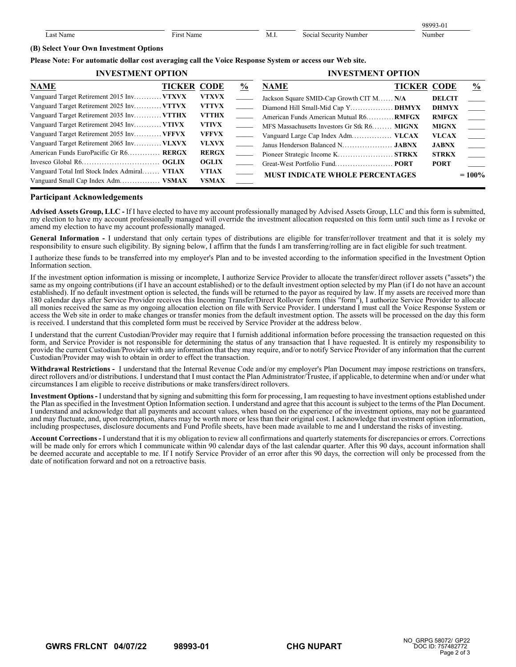|                    |                              |      |                                 | 98003<br>0 |
|--------------------|------------------------------|------|---------------------------------|------------|
| Name<br>. ast<br>. | $\sim$<br>. .<br>ir:<br>√ame | M.I. | social<br>I Security Number<br> | Number     |

## **(B) Select Your Own Investment Options**

### **Please Note: For automatic dollar cost averaging call the Voice Response System or access our Web site.**

| <b>INVESTMENT OPTION</b>                      |                    | <b>INVESTMENT OPTION</b> |                                            |                                             |                    |               |                                   |
|-----------------------------------------------|--------------------|--------------------------|--------------------------------------------|---------------------------------------------|--------------------|---------------|-----------------------------------|
| <b>NAME</b>                                   | <b>TICKER CODE</b> |                          | $\frac{6}{9}$                              | <b>NAME</b>                                 | <b>TICKER CODE</b> |               | $\frac{0}{0}$                     |
| Vanguard Target Retirement 2015 Inv VTXVX     |                    | <b>VTXVX</b>             |                                            | Jackson Square SMID-Cap Growth CIT M N/A    |                    | <b>DELCIT</b> |                                   |
| Vanguard Target Retirement 2025 Inv VTTVX     |                    | <b>VTTVX</b>             | <b>Contract Contract</b>                   | Diamond Hill Small-Mid Cap Y DHMYX          |                    | <b>DHMYX</b>  |                                   |
| Vanguard Target Retirement 2035 Inv VTTHX     |                    | <b>VTTHX</b>             |                                            | American Funds American Mutual R6 RMFGX     |                    | <b>RMFGX</b>  |                                   |
| Vanguard Target Retirement 2045 Inv VTIVX     |                    | <b>VTIVX</b>             |                                            | MFS Massachusetts Investors Gr Stk R6 MIGNX |                    | <b>MIGNX</b>  |                                   |
| Vanguard Target Retirement 2055 Inv VFFVX     |                    | <b>VFFVX</b>             | <b>Contract Contract Contract Contract</b> |                                             |                    | <b>VLCAX</b>  | <b>Contract</b>                   |
| Vanguard Target Retirement 2065 Inv VLXVX     |                    | <b>VLXVX</b>             | $\sim$                                     |                                             |                    | <b>JABNX</b>  | $\sim$                            |
| American Funds EuroPacific Gr R6 RERGX        |                    | <b>RERGX</b>             | $\sim$                                     |                                             |                    | <b>STRKX</b>  | <b>Contract Contract Contract</b> |
|                                               |                    | <b>OGLIX</b>             |                                            |                                             |                    | <b>PORT</b>   |                                   |
| Vanguard Total Intl Stock Index Admiral VTIAX |                    | <b>VTIAX</b>             |                                            | <b>MUST INDICATE WHOLE PERCENTAGES</b>      |                    | $=100%$       |                                   |
| Vanguard Small Cap Index Adm VSMAX            |                    | <b>VSMAX</b>             |                                            |                                             |                    |               |                                   |

### **Participant Acknowledgements**

**Advised Assets Group, LLC -** If I have elected to have my account professionally managed by Advised Assets Group, LLC and this form is submitted, my election to have my account professionally managed will override the investment allocation requested on this form until such time as I revoke or amend my election to have my account professionally managed.

**General Information -** I understand that only certain types of distributions are eligible for transfer/rollover treatment and that it is solely my responsibility to ensure such eligibility. By signing below, I affirm that the funds I am transferring/rolling are in fact eligible for such treatment.

I authorize these funds to be transferred into my employer's Plan and to be invested according to the information specified in the Investment Option Information section.

If the investment option information is missing or incomplete, I authorize Service Provider to allocate the transfer/direct rollover assets ("assets") the same as my ongoing contributions (if I have an account established) or to the default investment option selected by my Plan (if I do not have an account established). If no default investment option is selected, the funds will be returned to the payor as required by law. If my assets are received more than 180 calendar days after Service Provider receives this Incoming Transfer/Direct Rollover form (this "form"), I authorize Service Provider to allocate all monies received the same as my ongoing allocation election on file with Service Provider. I understand I must call the Voice Response System or access the Web site in order to make changes or transfer monies from the default investment option. The assets will be processed on the day this form is received. I understand that this completed form must be received by Service Provider at the address below.

I understand that the current Custodian/Provider may require that I furnish additional information before processing the transaction requested on this form, and Service Provider is not responsible for determining the status of any transaction that I have requested. It is entirely my responsibility to provide the current Custodian/Provider with any information that they may require, and/or to notify Service Provider of any information that the current Custodian/Provider may wish to obtain in order to effect the transaction.

**Withdrawal Restrictions -** I understand that the Internal Revenue Code and/or my employer's Plan Document may impose restrictions on transfers, direct rollovers and/or distributions. I understand that I must contact the Plan Administrator/Trustee, if applicable, to determine when and/or under what circumstances I am eligible to receive distributions or make transfers/direct rollovers.

**Investment Options -** I understand that by signing and submitting this form for processing, I am requesting to have investment options established under the Plan as specified in the Investment Option Information section. I understand and agree that this account is subject to the terms of the Plan Document. I understand and acknowledge that all payments and account values, when based on the experience of the investment options, may not be guaranteed and may fluctuate, and, upon redemption, shares may be worth more or less than their original cost. I acknowledge that investment option information, including prospectuses, disclosure documents and Fund Profile sheets, have been made available to me and I understand the risks of investing.

**Account Corrections -** I understand that it is my obligation to review all confirmations and quarterly statements for discrepancies or errors. Corrections will be made only for errors which I communicate within 90 calendar days of the last calendar quarter. After this 90 days, account information shall be deemed accurate and acceptable to me. If I notify Service Provider of an error after this 90 days, the correction will only be processed from the date of notification forward and not on a retroactive basis.